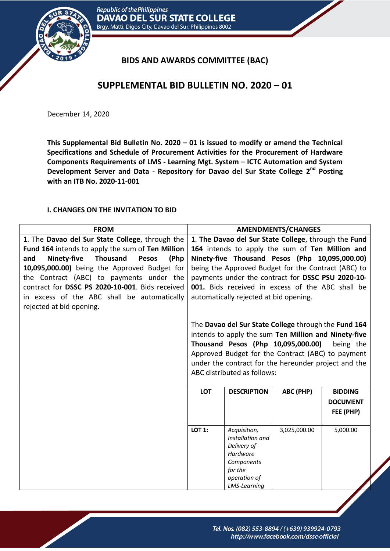

## **BIDS AND AWARDS COMMITTEE (BAC)**

# **SUPPLEMENTAL BID BULLETIN NO. 2020 – 01**

December 14, 2020

**This Supplemental Bid Bulletin No. 2020 – 01 is issued to modify or amend the Technical Specifications and Schedule of Procurement Activities for the Procurement of Hardware Components Requirements of LMS - Learning Mgt. System – ICTC Automation and System Development Server and Data - Repository for Davao del Sur State College 2 nd Posting with an ITB No. 2020-11-001** 

#### **I. CHANGES ON THE INVITATION TO BID**

| <b>FROM</b>                                                          |                                                      |                                                      | <b>AMENDMENTS/CHANGES</b> |                 |
|----------------------------------------------------------------------|------------------------------------------------------|------------------------------------------------------|---------------------------|-----------------|
| 1. The Davao del Sur State College, through the                      | 1. The Davao del Sur State College, through the Fund |                                                      |                           |                 |
| Fund 164 intends to apply the sum of Ten Million                     |                                                      | 164 intends to apply the sum of Ten Million and      |                           |                 |
| (Php<br><b>Ninety-five</b><br><b>Thousand</b><br><b>Pesos</b><br>and |                                                      | Ninety-five Thousand Pesos (Php 10,095,000.00)       |                           |                 |
| 10,095,000.00) being the Approved Budget for                         |                                                      | being the Approved Budget for the Contract (ABC) to  |                           |                 |
| the Contract (ABC) to payments under the                             |                                                      | payments under the contract for DSSC PSU 2020-10-    |                           |                 |
| contract for DSSC PS 2020-10-001. Bids received                      |                                                      | 001. Bids received in excess of the ABC shall be     |                           |                 |
| in excess of the ABC shall be automatically                          |                                                      | automatically rejected at bid opening.               |                           |                 |
| rejected at bid opening.                                             |                                                      |                                                      |                           |                 |
|                                                                      |                                                      |                                                      |                           |                 |
|                                                                      |                                                      | The Davao del Sur State College through the Fund 164 |                           |                 |
|                                                                      |                                                      | intends to apply the sum Ten Million and Ninety-five |                           |                 |
|                                                                      |                                                      | Thousand Pesos (Php 10,095,000.00)                   |                           | being the       |
|                                                                      |                                                      | Approved Budget for the Contract (ABC) to payment    |                           |                 |
|                                                                      |                                                      | under the contract for the hereunder project and the |                           |                 |
|                                                                      |                                                      | ABC distributed as follows:                          |                           |                 |
|                                                                      | <b>LOT</b>                                           | <b>DESCRIPTION</b>                                   | ABC (PHP)                 | <b>BIDDING</b>  |
|                                                                      |                                                      |                                                      |                           | <b>DOCUMENT</b> |
|                                                                      |                                                      |                                                      |                           | FEE (PHP)       |
|                                                                      |                                                      |                                                      |                           |                 |
|                                                                      | <b>LOT 1:</b>                                        | Acquisition,                                         | 3,025,000.00              | 5,000.00        |
|                                                                      |                                                      | Installation and                                     |                           |                 |
|                                                                      |                                                      | Delivery of<br>Hardware                              |                           |                 |
|                                                                      |                                                      | Components                                           |                           |                 |
|                                                                      |                                                      | for the                                              |                           |                 |
|                                                                      |                                                      | operation of                                         |                           |                 |
|                                                                      |                                                      | <b>LMS-Learning</b>                                  |                           |                 |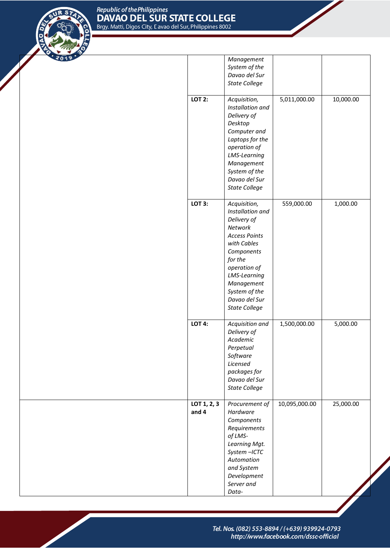

|                      | Management<br>System of the<br>Davao del Sur<br><b>State College</b>                                                                                                                                                                             |               |           |
|----------------------|--------------------------------------------------------------------------------------------------------------------------------------------------------------------------------------------------------------------------------------------------|---------------|-----------|
| <b>LOT 2:</b>        | Acquisition,<br>Installation and<br>Delivery of<br>Desktop<br>Computer and<br>Laptops for the<br>operation of<br>LMS-Learning<br>Management<br>System of the<br>Davao del Sur<br><b>State College</b>                                            | 5,011,000.00  | 10,000.00 |
| <b>LOT 3:</b>        | Acquisition,<br>Installation and<br>Delivery of<br><b>Network</b><br><b>Access Points</b><br>with Cables<br>Components<br>for the<br>operation of<br><b>LMS-Learning</b><br>Management<br>System of the<br>Davao del Sur<br><b>State College</b> | 559,000.00    | 1,000.00  |
| <b>LOT 4:</b>        | Acquisition and<br>Delivery of<br>Academic<br>Perpetual<br>Software<br>Licensed<br>packages for<br>Davao del Sur<br><b>State College</b>                                                                                                         | 1,500,000.00  | 5,000.00  |
| LOT 1, 2, 3<br>and 4 | Procurement of<br>Hardware<br>Components<br>Requirements<br>of LMS-<br>Learning Mgt.<br>System-ICTC<br>Automation<br>and System<br>Development<br>Server and<br>Data-                                                                            | 10,095,000.00 | 25,000.00 |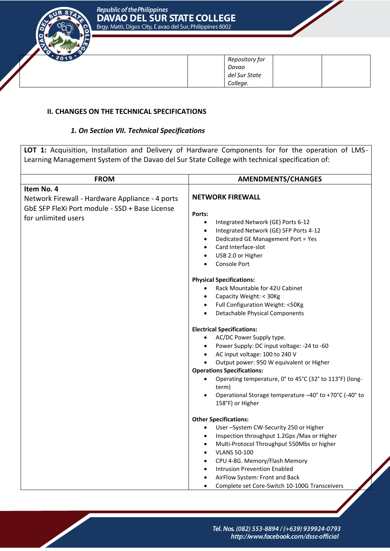

| Repository for |  |
|----------------|--|
| Davao          |  |
| del Sur State  |  |
| College.       |  |

## **II. CHANGES ON THE TECHNICAL SPECIFICATIONS**

## *1. On Section VII. Technical Specifications*

|                                                                                                                                        | <b>LOT 1:</b> Acquisition, Installation and Delivery of Hardware Components for for the operation of LMS-                                                                                                                                                                                                                                                                                                                                                                                                                                                                                                                                                |
|----------------------------------------------------------------------------------------------------------------------------------------|----------------------------------------------------------------------------------------------------------------------------------------------------------------------------------------------------------------------------------------------------------------------------------------------------------------------------------------------------------------------------------------------------------------------------------------------------------------------------------------------------------------------------------------------------------------------------------------------------------------------------------------------------------|
| Learning Management System of the Davao del Sur State College with technical specification of:                                         |                                                                                                                                                                                                                                                                                                                                                                                                                                                                                                                                                                                                                                                          |
|                                                                                                                                        |                                                                                                                                                                                                                                                                                                                                                                                                                                                                                                                                                                                                                                                          |
| <b>FROM</b>                                                                                                                            | <b>AMENDMENTS/CHANGES</b>                                                                                                                                                                                                                                                                                                                                                                                                                                                                                                                                                                                                                                |
| Item No. 4<br>Network Firewall - Hardware Appliance - 4 ports<br>GbE SFP FleXi Port module - SSD + Base License<br>for unlimited users | <b>NETWORK FIREWALL</b><br>Ports:<br>Integrated Network (GE) Ports 6-12<br>$\bullet$<br>Integrated Network (GE) SFP Ports 4-12<br>$\bullet$<br>Dedicated GE Management Port = Yes<br>٠<br>Card Interface-slot<br>$\bullet$<br>USB 2.0 or Higher<br>٠<br>Console Port                                                                                                                                                                                                                                                                                                                                                                                     |
|                                                                                                                                        | <b>Physical Specifications:</b><br>Rack Mountable for 42U Cabinet<br>$\bullet$<br>Capacity Weight: < 30Kg<br>$\bullet$<br>Full Configuration Weight: <50Kg<br>$\bullet$<br><b>Detachable Physical Components</b><br>$\bullet$<br><b>Electrical Specifications:</b><br>AC/DC Power Supply type.<br>Power Supply: DC input voltage: -24 to -60<br>$\bullet$<br>AC input voltage: 100 to 240 V<br>$\bullet$<br>Output power: 950 W equivalent or Higher<br><b>Operations Specifications:</b><br>Operating temperature, 0° to 45°C (32° to 113°F) (long-<br>$\bullet$<br>term)<br>Operational Storage temperature -40° to +70°C (-40° to<br>158°F) or Higher |
|                                                                                                                                        | <b>Other Specifications:</b><br>User-System CW-Security 250 or Higher<br>Inspection throughput 1.2Gps / Max or Higher<br>Multi-Protocol Throughput 550Mbs or higher<br>٠<br><b>VLANS 50-100</b><br>$\bullet$<br>CPU 4-8G. Memory/Flash Memory<br>$\bullet$<br><b>Intrusion Prevention Enabled</b><br>$\bullet$<br>AirFlow System: Front and Back<br>$\bullet$<br>Complete set Core-Switch 10-100G Transceivers                                                                                                                                                                                                                                           |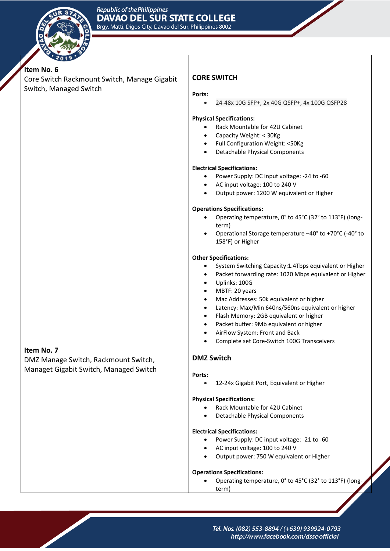

| Item No. 6                                                                     |                                                                  |  |  |
|--------------------------------------------------------------------------------|------------------------------------------------------------------|--|--|
| Core Switch Rackmount Switch, Manage Gigabit                                   | <b>CORE SWITCH</b>                                               |  |  |
| Switch, Managed Switch                                                         | Ports:                                                           |  |  |
|                                                                                | 24-48x 10G SFP+, 2x 40G QSFP+, 4x 100G QSFP28                    |  |  |
|                                                                                | <b>Physical Specifications:</b>                                  |  |  |
|                                                                                | Rack Mountable for 42U Cabinet                                   |  |  |
|                                                                                | Capacity Weight: < 30Kg<br>$\bullet$                             |  |  |
|                                                                                | Full Configuration Weight: <50Kg                                 |  |  |
|                                                                                | <b>Detachable Physical Components</b>                            |  |  |
|                                                                                | <b>Electrical Specifications:</b>                                |  |  |
|                                                                                | Power Supply: DC input voltage: -24 to -60                       |  |  |
|                                                                                | AC input voltage: 100 to 240 V                                   |  |  |
|                                                                                | Output power: 1200 W equivalent or Higher<br>$\bullet$           |  |  |
|                                                                                | <b>Operations Specifications:</b>                                |  |  |
|                                                                                | Operating temperature, 0° to 45°C (32° to 113°F) (long-<br>term) |  |  |
|                                                                                | Operational Storage temperature -40° to +70°C (-40° to           |  |  |
|                                                                                | 158°F) or Higher                                                 |  |  |
|                                                                                | <b>Other Specifications:</b>                                     |  |  |
|                                                                                | System Switching Capacity:1.4Tbps equivalent or Higher<br>٠      |  |  |
|                                                                                | Packet forwarding rate: 1020 Mbps equivalent or Higher           |  |  |
|                                                                                | Uplinks: 100G                                                    |  |  |
|                                                                                | MBTF: 20 years<br>$\bullet$                                      |  |  |
|                                                                                | Mac Addresses: 50k equivalent or higher<br>$\bullet$             |  |  |
|                                                                                | Latency: Max/Min 640ns/560ns equivalent or higher<br>$\bullet$   |  |  |
|                                                                                | Flash Memory: 2GB equivalent or higher                           |  |  |
|                                                                                | Packet buffer: 9Mb equivalent or higher<br>$\bullet$             |  |  |
|                                                                                | AirFlow System: Front and Back                                   |  |  |
| Item No. 7                                                                     | Complete set Core-Switch 100G Transceivers                       |  |  |
| DMZ Manage Switch, Rackmount Switch,<br>Managet Gigabit Switch, Managed Switch | <b>DMZ Switch</b>                                                |  |  |
|                                                                                | Ports:                                                           |  |  |
|                                                                                | 12-24x Gigabit Port, Equivalent or Higher                        |  |  |
|                                                                                | <b>Physical Specifications:</b>                                  |  |  |
|                                                                                | Rack Mountable for 42U Cabinet                                   |  |  |
|                                                                                | <b>Detachable Physical Components</b>                            |  |  |
|                                                                                | <b>Electrical Specifications:</b>                                |  |  |
|                                                                                | Power Supply: DC input voltage: -21 to -60                       |  |  |
|                                                                                | AC input voltage: 100 to 240 V                                   |  |  |
|                                                                                | Output power: 750 W equivalent or Higher                         |  |  |
|                                                                                | <b>Operations Specifications:</b>                                |  |  |
|                                                                                | Operating temperature, 0° to 45°C (32° to 113°F) (long-<br>term) |  |  |
|                                                                                |                                                                  |  |  |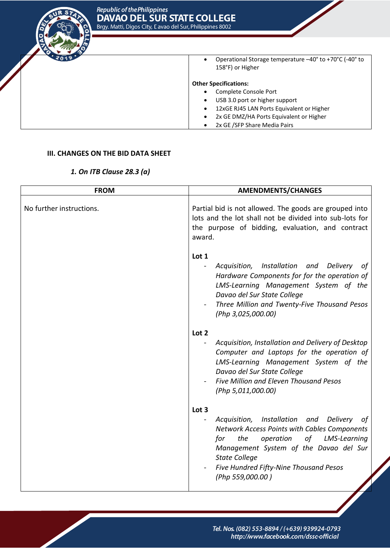

 Operational Storage temperature –40° to +70°C (-40° to 158°F) or Higher

#### **Other Specifications:**

- Complete Console Port
- USB 3.0 port or higher support
- 12xGE RJ45 LAN Ports Equivalent or Higher
- 2x GE DMZ/HA Ports Equivalent or Higher
- 2x GE / SFP Share Media Pairs

#### **III. CHANGES ON THE BID DATA SHEET**

#### *1. On ITB Clause 28.3 (a)*

| <b>FROM</b>              | <b>AMENDMENTS/CHANGES</b>                                                                                                                                                                                                                                                                        |  |  |
|--------------------------|--------------------------------------------------------------------------------------------------------------------------------------------------------------------------------------------------------------------------------------------------------------------------------------------------|--|--|
| No further instructions. | Partial bid is not allowed. The goods are grouped into<br>lots and the lot shall not be divided into sub-lots for<br>the purpose of bidding, evaluation, and contract<br>award.                                                                                                                  |  |  |
|                          | Lot 1<br>Acquisition, Installation and Delivery<br>$\blacksquare$<br>ot<br>Hardware Components for for the operation of<br>LMS-Learning Management System of the<br>Davao del Sur State College<br>Three Million and Twenty-Five Thousand Pesos<br>(Php 3,025,000.00)                            |  |  |
|                          | Lot 2<br>Acquisition, Installation and Delivery of Desktop<br>Computer and Laptops for the operation of<br>LMS-Learning Management System of the<br>Davao del Sur State College<br>Five Million and Eleven Thousand Pesos<br>(Php 5,011,000.00)                                                  |  |  |
|                          | Lot 3<br>Acquisition, Installation and<br><b>Delivery</b><br>οf<br>Network Access Points with Cables Components<br>the<br>operation<br>of<br>LMS-Learning<br>for<br>Management System of the Davao del Sur<br><b>State College</b><br>Five Hundred Fifty-Nine Thousand Pesos<br>(Php 559,000.00) |  |  |